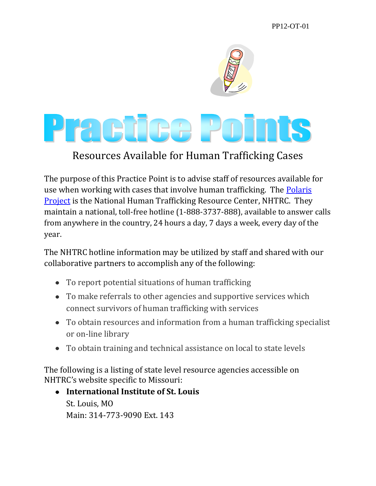PP12-OT-01



## Resources Available for Human Trafficking Cases

The purpose of this Practice Point is to advise staff of resources available for use when working with cases that involve human trafficking. The [Polaris](http://www.polarisproject.org/what-we-do/national-human-trafficking-hotline/the-nhtrc/overview)  [Project](http://www.polarisproject.org/what-we-do/national-human-trafficking-hotline/the-nhtrc/overview) is the National Human Trafficking Resource Center, NHTRC. They maintain a national, toll-free hotline (1-888-3737-888), available to answer calls from anywhere in the country, 24 hours a day, 7 days a week, every day of the year.

The NHTRC hotline information may be utilized by staff and shared with our collaborative partners to accomplish any of the following:

- To report potential situations of human trafficking
- To make referrals to other agencies and supportive services which connect survivors of human trafficking with services
- To obtain resources and information from a human trafficking specialist or on-line library
- To obtain training and technical assistance on local to state levels

The following is a listing of state level resource agencies accessible on NHTRC's website specific to Missouri:

**International Institute of St. Louis** St. Louis, MO Main: 314-773-9090 Ext. 143